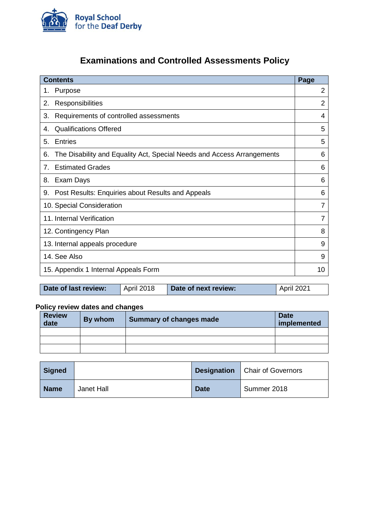

# **Examinations and Controlled Assessments Policy**

| <b>Contents</b>                                                              | Page           |
|------------------------------------------------------------------------------|----------------|
| Purpose<br>1.                                                                | $\overline{2}$ |
| Responsibilities<br>2.                                                       | $\overline{2}$ |
| Requirements of controlled assessments<br>3.                                 | 4              |
| <b>Qualifications Offered</b><br>4.                                          | 5              |
| <b>Entries</b><br>5.                                                         | 5              |
| The Disability and Equality Act, Special Needs and Access Arrangements<br>6. | 6              |
| <b>Estimated Grades</b><br>7.                                                | 6              |
| 8.<br>Exam Days                                                              | 6              |
| Post Results: Enquiries about Results and Appeals<br>9.                      | 6              |
| 10. Special Consideration                                                    | 7              |
| 11. Internal Verification                                                    | 7              |
| 12. Contingency Plan                                                         | 8              |
| 13. Internal appeals procedure                                               | 9              |
| 14. See Also                                                                 | 9              |
| 15. Appendix 1 Internal Appeals Form                                         | 10             |

| Date of last review: | April 2018 | Date of next review: | $\vert$ April 2021 |
|----------------------|------------|----------------------|--------------------|

# **Policy review dates and changes**

| <b>Review</b><br>date | By whom | Summary of changes made | <b>Date</b><br>implemented |
|-----------------------|---------|-------------------------|----------------------------|
|                       |         |                         |                            |
|                       |         |                         |                            |
|                       |         |                         |                            |

| Signed      |            | <b>Designation</b> | Chair of Governors |
|-------------|------------|--------------------|--------------------|
| <b>Name</b> | Janet Hall | <b>Date</b>        | Summer 2018        |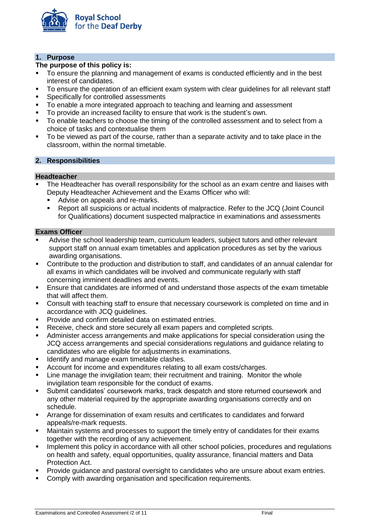

# **1. Purpose**

# **The purpose of this policy is:**

- To ensure the planning and management of exams is conducted efficiently and in the best interest of candidates.
- To ensure the operation of an efficient exam system with clear guidelines for all relevant staff
- Specifically for controlled assessments
- To enable a more integrated approach to teaching and learning and assessment
- To provide an increased facility to ensure that work is the student's own.
- To enable teachers to choose the timing of the controlled assessment and to select from a choice of tasks and contextualise them
- To be viewed as part of the course, rather than a separate activity and to take place in the classroom, within the normal timetable.

## **2. Responsibilities**

## **Headteacher**

- The Headteacher has overall responsibility for the school as an exam centre and liaises with Deputy Headteacher Achievement and the Exams Officer who will:
	- Advise on appeals and re-marks.
	- Report all suspicions or actual incidents of malpractice. Refer to the JCQ (Joint Council for Qualifications) document suspected malpractice in examinations and assessments

# **Exams Officer**

- Advise the school leadership team, curriculum leaders, subject tutors and other relevant support staff on annual exam timetables and application procedures as set by the various awarding organisations.
- Contribute to the production and distribution to staff, and candidates of an annual calendar for all exams in which candidates will be involved and communicate regularly with staff concerning imminent deadlines and events.
- Ensure that candidates are informed of and understand those aspects of the exam timetable that will affect them.
- Consult with teaching staff to ensure that necessary coursework is completed on time and in accordance with JCQ guidelines.
- Provide and confirm detailed data on estimated entries.
- Receive, check and store securely all exam papers and completed scripts.
- Administer access arrangements and make applications for special consideration using the JCQ access arrangements and special considerations regulations and guidance relating to candidates who are eligible for adjustments in examinations.
- Identify and manage exam timetable clashes.
- Account for income and expenditures relating to all exam costs/charges.
- Line manage the invigilation team; their recruitment and training. Monitor the whole invigilation team responsible for the conduct of exams.
- Submit candidates' coursework marks, track despatch and store returned coursework and any other material required by the appropriate awarding organisations correctly and on schedule.
- Arrange for dissemination of exam results and certificates to candidates and forward appeals/re-mark requests.
- **■** Maintain systems and processes to support the timely entry of candidates for their exams together with the recording of any achievement.
- Implement this policy in accordance with all other school policies, procedures and regulations on health and safety, equal opportunities, quality assurance, financial matters and Data Protection Act.
- Provide guidance and pastoral oversight to candidates who are unsure about exam entries.
- Comply with awarding organisation and specification requirements.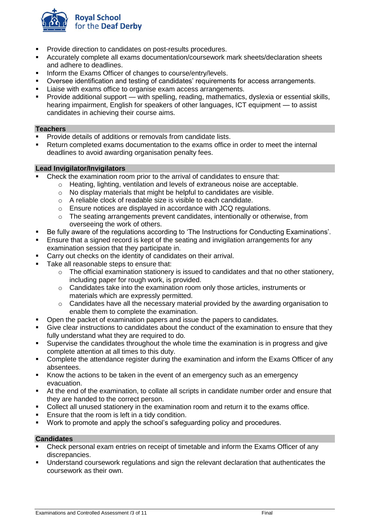

- Provide direction to candidates on post-results procedures.
- Accurately complete all exams documentation/coursework mark sheets/declaration sheets and adhere to deadlines.
- **■** Inform the Exams Officer of changes to course/entry/levels.
- Oversee identification and testing of candidates' requirements for access arrangements.
- Liaise with exams office to organise exam access arrangements.
- Provide additional support with spelling, reading, mathematics, dyslexia or essential skills, hearing impairment, English for speakers of other languages, ICT equipment — to assist candidates in achieving their course aims.

#### **Teachers**

- Provide details of additions or removals from candidate lists.<br>■ Return completed exams documentation to the exams office
- Return completed exams documentation to the exams office in order to meet the internal deadlines to avoid awarding organisation penalty fees.

## **Lead Invigilator/Invigilators**

- Check the examination room prior to the arrival of candidates to ensure that:
	- $\circ$  Heating, lighting, ventilation and levels of extraneous noise are acceptable.
	- o No display materials that might be helpful to candidates are visible.
	- o A reliable clock of readable size is visible to each candidate.
	- o Ensure notices are displayed in accordance with JCQ regulations.
	- o The seating arrangements prevent candidates, intentionally or otherwise, from overseeing the work of others.
- Be fully aware of the regulations according to 'The Instructions for Conducting Examinations'.
- **E** Ensure that a signed record is kept of the seating and invigilation arrangements for any examination session that they participate in.
- Carry out checks on the identity of candidates on their arrival.
- Take all reasonable steps to ensure that:
	- o The official examination stationery is issued to candidates and that no other stationery, including paper for rough work, is provided.
	- $\circ$  Candidates take into the examination room only those articles, instruments or materials which are expressly permitted.
	- o Candidates have all the necessary material provided by the awarding organisation to enable them to complete the examination.
- Open the packet of examination papers and issue the papers to candidates.
- Give clear instructions to candidates about the conduct of the examination to ensure that they fully understand what they are required to do.
- Supervise the candidates throughout the whole time the examination is in progress and give complete attention at all times to this duty.
- Complete the attendance register during the examination and inform the Exams Officer of any absentees.
- Know the actions to be taken in the event of an emergency such as an emergency evacuation.
- At the end of the examination, to collate all scripts in candidate number order and ensure that they are handed to the correct person.
- Collect all unused stationery in the examination room and return it to the exams office.
- Ensure that the room is left in a tidy condition.
- Work to promote and apply the school's safeguarding policy and procedures.

## **Candidates**

- Check personal exam entries on receipt of timetable and inform the Exams Officer of any discrepancies.
- Understand coursework regulations and sign the relevant declaration that authenticates the coursework as their own.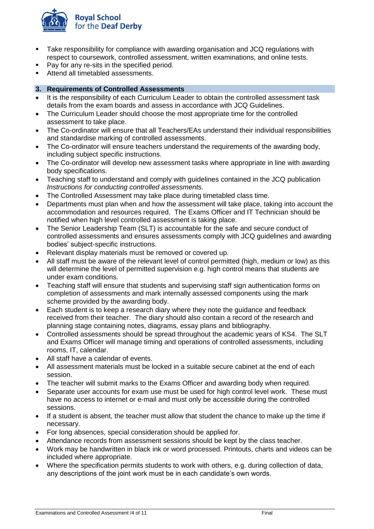

- Take responsibility for compliance with awarding organisation and JCQ regulations with respect to coursework, controlled assessment, written examinations, and online tests.
- Pay for any re-sits in the specified period.
- Attend all timetabled assessments.

## **3. Requirements of Controlled Assessments**

- It is the responsibility of each Curriculum Leader to obtain the controlled assessment task details from the exam boards and assess in accordance with JCQ Guidelines.
- The Curriculum Leader should choose the most appropriate time for the controlled assessment to take place.
- The Co-ordinator will ensure that all Teachers/EAs understand their individual responsibilities and standardise marking of controlled assessments.
- The Co-ordinator will ensure teachers understand the requirements of the awarding body, including subject specific instructions.
- The Co-ordinator will develop new assessment tasks where appropriate in line with awarding body specifications.
- Teaching staff to understand and comply with guidelines contained in the JCQ publication *Instructions for conducting controlled assessments.*
- The Controlled Assessment may take place during timetabled class time.
- Departments must plan when and how the assessment will take place, taking into account the accommodation and resources required. The Exams Officer and IT Technician should be notified when high level controlled assessment is taking place.
- The Senior Leadership Team (SLT) is accountable for the safe and secure conduct of controlled assessments and ensures assessments comply with JCQ guidelines and awarding bodies' subject-specific instructions.
- Relevant display materials must be removed or covered up.
- All staff must be aware of the relevant level of control permitted (high, medium or low) as this will determine the level of permitted supervision e.g. high control means that students are under exam conditions.
- Teaching staff will ensure that students and supervising staff sign authentication forms on completion of assessments and mark internally assessed components using the mark scheme provided by the awarding body.
- Each student is to keep a research diary where they note the guidance and feedback received from their teacher. The diary should also contain a record of the research and planning stage containing notes, diagrams, essay plans and bibliography.
- Controlled assessments should be spread throughout the academic years of KS4. The SLT and Exams Officer will manage timing and operations of controlled assessments, including rooms, IT, calendar.
- All staff have a calendar of events.
- All assessment materials must be locked in a suitable secure cabinet at the end of each session.
- The teacher will submit marks to the Exams Officer and awarding body when required.
- Separate user accounts for exam use must be used for high control level work. These must have no access to internet or e-mail and must only be accessible during the controlled sessions.
- If a student is absent, the teacher must allow that student the chance to make up the time if necessary.
- For long absences, special consideration should be applied for.
- Attendance records from assessment sessions should be kept by the class teacher.
- Work may be handwritten in black ink or word processed. Printouts, charts and videos can be included where appropriate.
- Where the specification permits students to work with others, e.g. during collection of data, any descriptions of the joint work must be in each candidate's own words.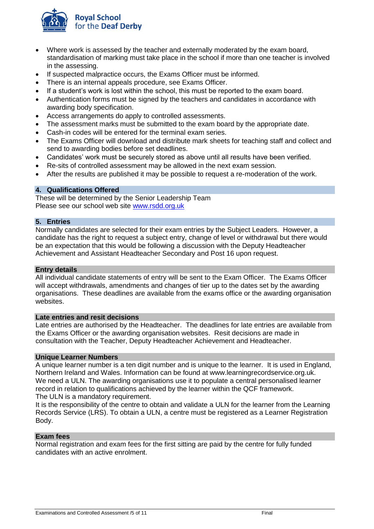

- Where work is assessed by the teacher and externally moderated by the exam board, standardisation of marking must take place in the school if more than one teacher is involved in the assessing.
- If suspected malpractice occurs, the Exams Officer must be informed.
- There is an internal appeals procedure, see Exams Officer.
- If a student's work is lost within the school, this must be reported to the exam board.
- Authentication forms must be signed by the teachers and candidates in accordance with awarding body specification.
- Access arrangements do apply to controlled assessments.
- The assessment marks must be submitted to the exam board by the appropriate date.
- Cash-in codes will be entered for the terminal exam series.
- The Exams Officer will download and distribute mark sheets for teaching staff and collect and send to awarding bodies before set deadlines.
- Candidates' work must be securely stored as above until all results have been verified.
- Re-sits of controlled assessment may be allowed in the next exam session.
- After the results are published it may be possible to request a re-moderation of the work.

# **4. Qualifications Offered**

These will be determined by the Senior Leadership Team Please see our school web site [www.rsdd.org.uk](http://www.rsdd.org.uk/)

## **5. Entries**

Normally candidates are selected for their exam entries by the Subject Leaders. However, a candidate has the right to request a subject entry, change of level or withdrawal but there would be an expectation that this would be following a discussion with the Deputy Headteacher Achievement and Assistant Headteacher Secondary and Post 16 upon request.

## **Entry details**

All individual candidate statements of entry will be sent to the Exam Officer. The Exams Officer will accept withdrawals, amendments and changes of tier up to the dates set by the awarding organisations. These deadlines are available from the exams office or the awarding organisation websites.

## **Late entries and resit decisions**

Late entries are authorised by the Headteacher. The deadlines for late entries are available from the Exams Officer or the awarding organisation websites. Resit decisions are made in consultation with the Teacher, Deputy Headteacher Achievement and Headteacher.

## **Unique Learner Numbers**

A unique learner number is a ten digit number and is unique to the learner. It is used in England, Northern Ireland and Wales. Information can be found at www.learningrecordservice.org.uk. We need a ULN. The awarding organisations use it to populate a central personalised learner record in relation to qualifications achieved by the learner within the QCF framework. The ULN is a mandatory requirement.

It is the responsibility of the centre to obtain and validate a ULN for the learner from the Learning Records Service (LRS). To obtain a ULN, a centre must be registered as a Learner Registration Body.

## **Exam fees**

Normal registration and exam fees for the first sitting are paid by the centre for fully funded candidates with an active enrolment.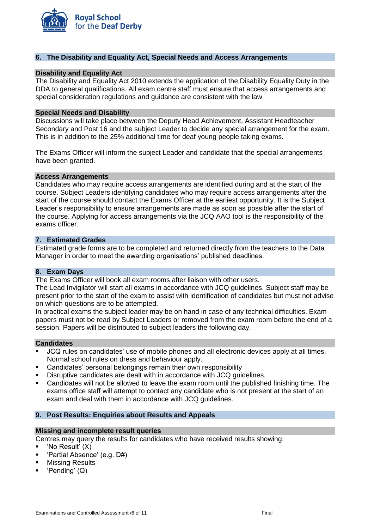

## **6. The Disability and Equality Act, Special Needs and Access Arrangements**

## **Disability and Equality Act**

The Disability and Equality Act 2010 extends the application of the Disability Equality Duty in the DDA to general qualifications. All exam centre staff must ensure that access arrangements and special consideration regulations and guidance are consistent with the law.

#### **Special Needs and Disability**

Discussions will take place between the Deputy Head Achievement, Assistant Headteacher Secondary and Post 16 and the subject Leader to decide any special arrangement for the exam. This is in addition to the 25% additional time for deaf young people taking exams.

The Exams Officer will inform the subject Leader and candidate that the special arrangements have been granted.

## **Access Arrangements**

Candidates who may require access arrangements are identified during and at the start of the course. Subject Leaders identifying candidates who may require access arrangements after the start of the course should contact the Exams Officer at the earliest opportunity. It is the Subject Leader's responsibility to ensure arrangements are made as soon as possible after the start of the course. Applying for access arrangements via the JCQ AAO tool is the responsibility of the exams officer.

#### **7. Estimated Grades**

Estimated grade forms are to be completed and returned directly from the teachers to the Data Manager in order to meet the awarding organisations' published deadlines.

#### **8. Exam Days**

The Exams Officer will book all exam rooms after liaison with other users.

The Lead Invigilator will start all exams in accordance with JCQ guidelines. Subject staff may be present prior to the start of the exam to assist with identification of candidates but must not advise on which questions are to be attempted.

In practical exams the subject leader may be on hand in case of any technical difficulties. Exam papers must not be read by Subject Leaders or removed from the exam room before the end of a session. Papers will be distributed to subject leaders the following day.

## **Candidates**

- JCQ rules on candidates' use of mobile phones and all electronic devices apply at all times. Normal school rules on dress and behaviour apply.
- Candidates' personal belongings remain their own responsibility
- Disruptive candidates are dealt with in accordance with JCQ quidelines.
- Candidates will not be allowed to leave the exam room until the published finishing time. The exams office staff will attempt to contact any candidate who is not present at the start of an exam and deal with them in accordance with JCQ guidelines.

## **9. Post Results: Enquiries about Results and Appeals**

#### **Missing and incomplete result queries**

- Centres may query the results for candidates who have received results showing:
- 'No Result' (X)
- 'Partial Absence' (e.g. D#)
- **Missing Results**
- 'Pending' (Q)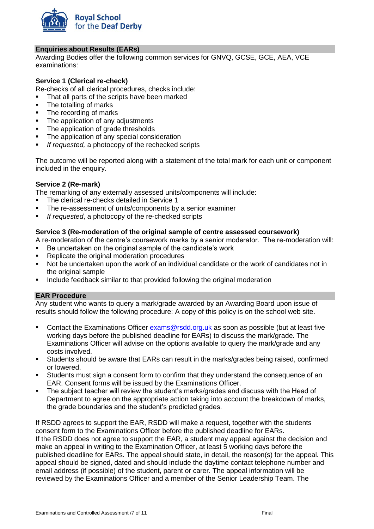

## **Enquiries about Results (EARs)**

Awarding Bodies offer the following common services for GNVQ, GCSE, GCE, AEA, VCE examinations:

## **Service 1 (Clerical re-check)**

Re-checks of all clerical procedures, checks include:

- That all parts of the scripts have been marked
- The totalling of marks
- The recording of marks
- The application of any adjustments
- The application of grade thresholds
- The application of any special consideration
- If requested, a photocopy of the rechecked scripts

The outcome will be reported along with a statement of the total mark for each unit or component included in the enquiry.

## **Service 2 (Re-mark)**

The remarking of any externally assessed units/components will include:

- The clerical re-checks detailed in Service 1
- The re-assessment of units/components by a senior examiner
- *If requested*, a photocopy of the re-checked scripts

## **Service 3 (Re-moderation of the original sample of centre assessed coursework)**

- A re-moderation of the centre's coursework marks by a senior moderator. The re-moderation will:
- Be undertaken on the original sample of the candidate's work
- Replicate the original moderation procedures
- Not be undertaken upon the work of an individual candidate or the work of candidates not in the original sample
- Include feedback similar to that provided following the original moderation

## **EAR Procedure**

Any student who wants to query a mark/grade awarded by an Awarding Board upon issue of results should follow the following procedure: A copy of this policy is on the school web site.

- Contact the Examinations Officer [exams@rsdd.org.uk](mailto:exams@rsdd.org.uk) as soon as possible (but at least five working days before the published deadline for  $EARS$  to discuss the mark/grade. The Examinations Officer will advise on the options available to query the mark/grade and any costs involved.
- Students should be aware that EARs can result in the marks/grades being raised, confirmed or lowered.
- Students must sign a consent form to confirm that they understand the consequence of an EAR. Consent forms will be issued by the Examinations Officer.
- The subject teacher will review the student's marks/grades and discuss with the Head of Department to agree on the appropriate action taking into account the breakdown of marks, the grade boundaries and the student's predicted grades.

If RSDD agrees to support the EAR, RSDD will make a request, together with the students consent form to the Examinations Officer before the published deadline for EARs. If the RSDD does not agree to support the EAR, a student may appeal against the decision and make an appeal in writing to the Examination Officer, at least 5 working days before the published deadline for EARs. The appeal should state, in detail, the reason(s) for the appeal. This appeal should be signed, dated and should include the daytime contact telephone number and email address (if possible) of the student, parent or carer. The appeal information will be reviewed by the Examinations Officer and a member of the Senior Leadership Team. The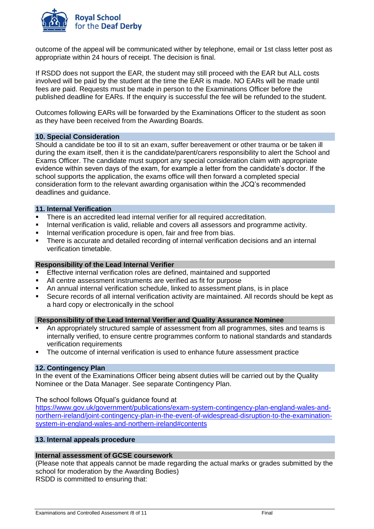

outcome of the appeal will be communicated wither by telephone, email or 1st class letter post as appropriate within 24 hours of receipt. The decision is final.

If RSDD does not support the EAR, the student may still proceed with the EAR but ALL costs involved will be paid by the student at the time the EAR is made. NO EARs will be made until fees are paid. Requests must be made in person to the Examinations Officer before the published deadline for EARs. If the enquiry is successful the fee will be refunded to the student.

Outcomes following EARs will be forwarded by the Examinations Officer to the student as soon as they have been received from the Awarding Boards.

## **10. Special Consideration**

Should a candidate be too ill to sit an exam, suffer bereavement or other trauma or be taken ill during the exam itself, then it is the candidate/parent/carers responsibility to alert the School and Exams Officer. The candidate must support any special consideration claim with appropriate evidence within seven days of the exam, for example a letter from the candidate's doctor. If the school supports the application, the exams office will then forward a completed special consideration form to the relevant awarding organisation within the JCQ's recommended deadlines and guidance.

## **11. Internal Verification**

- **EXECTE:** There is an accredited lead internal verifier for all required accreditation.
- **EXEDENT** Internal verification is valid, reliable and covers all assessors and programme activity.
- **EXECT** Internal verification procedure is open, fair and free from bias.
- **•** There is accurate and detailed recording of internal verification decisions and an internal verification timetable.

## **Responsibility of the Lead Internal Verifier**

- Effective internal verification roles are defined, maintained and supported
- All centre assessment instruments are verified as fit for purpose
- An annual internal verification schedule, linked to assessment plans, is in place
- Secure records of all internal verification activity are maintained. All records should be kept as a hard copy or electronically in the school

## **Responsibility of the Lead Internal Verifier and Quality Assurance Nominee**

- An appropriately structured sample of assessment from all programmes, sites and teams is internally verified, to ensure centre programmes conform to national standards and standards verification requirements
- The outcome of internal verification is used to enhance future assessment practice

## **12. Contingency Plan**

In the event of the Examinations Officer being absent duties will be carried out by the Quality Nominee or the Data Manager. See separate Contingency Plan.

The school follows Ofqual's guidance found at

[https://www.gov.uk/government/publications/exam-system-contingency-plan-england-wales-and](https://www.gov.uk/government/publications/exam-system-contingency-plan-england-wales-and-northern-ireland/joint-contingency-plan-in-the-event-of-widespread-disruption-to-the-examination-system-in-england-wales-and-northern-ireland#contents)[northern-ireland/joint-contingency-plan-in-the-event-of-widespread-disruption-to-the-examination](https://www.gov.uk/government/publications/exam-system-contingency-plan-england-wales-and-northern-ireland/joint-contingency-plan-in-the-event-of-widespread-disruption-to-the-examination-system-in-england-wales-and-northern-ireland#contents)[system-in-england-wales-and-northern-ireland#contents](https://www.gov.uk/government/publications/exam-system-contingency-plan-england-wales-and-northern-ireland/joint-contingency-plan-in-the-event-of-widespread-disruption-to-the-examination-system-in-england-wales-and-northern-ireland#contents)

# **13. Internal appeals procedure**

## **Internal assessment of GCSE coursework**

(Please note that appeals cannot be made regarding the actual marks or grades submitted by the school for moderation by the Awarding Bodies) RSDD is committed to ensuring that: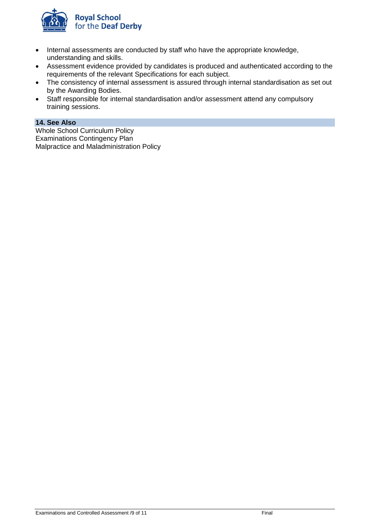

- Internal assessments are conducted by staff who have the appropriate knowledge, understanding and skills.
- Assessment evidence provided by candidates is produced and authenticated according to the requirements of the relevant Specifications for each subject.
- The consistency of internal assessment is assured through internal standardisation as set out by the Awarding Bodies.
- Staff responsible for internal standardisation and/or assessment attend any compulsory training sessions.

# **14. See Also**

Whole School Curriculum Policy Examinations Contingency Plan Malpractice and Maladministration Policy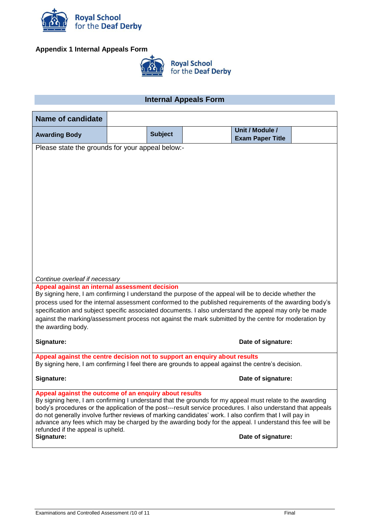

# **Appendix 1 Internal Appeals Form**



# **Internal Appeals Form**

| <b>Name of candidate</b>                                                                                                                                                                                                 |  |                |  |                                            |  |
|--------------------------------------------------------------------------------------------------------------------------------------------------------------------------------------------------------------------------|--|----------------|--|--------------------------------------------|--|
| <b>Awarding Body</b>                                                                                                                                                                                                     |  | <b>Subject</b> |  | Unit / Module /<br><b>Exam Paper Title</b> |  |
| Please state the grounds for your appeal below:-                                                                                                                                                                         |  |                |  |                                            |  |
|                                                                                                                                                                                                                          |  |                |  |                                            |  |
|                                                                                                                                                                                                                          |  |                |  |                                            |  |
|                                                                                                                                                                                                                          |  |                |  |                                            |  |
|                                                                                                                                                                                                                          |  |                |  |                                            |  |
|                                                                                                                                                                                                                          |  |                |  |                                            |  |
|                                                                                                                                                                                                                          |  |                |  |                                            |  |
|                                                                                                                                                                                                                          |  |                |  |                                            |  |
|                                                                                                                                                                                                                          |  |                |  |                                            |  |
|                                                                                                                                                                                                                          |  |                |  |                                            |  |
| Continue overleaf if necessary                                                                                                                                                                                           |  |                |  |                                            |  |
| Appeal against an internal assessment decision                                                                                                                                                                           |  |                |  |                                            |  |
| By signing here, I am confirming I understand the purpose of the appeal will be to decide whether the<br>process used for the internal assessment conformed to the published requirements of the awarding body's         |  |                |  |                                            |  |
| specification and subject specific associated documents. I also understand the appeal may only be made                                                                                                                   |  |                |  |                                            |  |
| against the marking/assessment process not against the mark submitted by the centre for moderation by<br>the awarding body.                                                                                              |  |                |  |                                            |  |
| Signature:                                                                                                                                                                                                               |  |                |  | Date of signature:                         |  |
| Appeal against the centre decision not to support an enquiry about results                                                                                                                                               |  |                |  |                                            |  |
| By signing here, I am confirming I feel there are grounds to appeal against the centre's decision.                                                                                                                       |  |                |  |                                            |  |
| Signature:                                                                                                                                                                                                               |  |                |  | Date of signature:                         |  |
| Appeal against the outcome of an enquiry about results                                                                                                                                                                   |  |                |  |                                            |  |
| By signing here, I am confirming I understand that the grounds for my appeal must relate to the awarding<br>body's procedures or the application of the post---result service procedures. I also understand that appeals |  |                |  |                                            |  |
| do not generally involve further reviews of marking candidates' work. I also confirm that I will pay in<br>advance any fees which may be charged by the awarding body for the appeal. I understand this fee will be      |  |                |  |                                            |  |
| refunded if the appeal is upheld.<br>Signature:                                                                                                                                                                          |  |                |  | Date of signature:                         |  |
|                                                                                                                                                                                                                          |  |                |  |                                            |  |
|                                                                                                                                                                                                                          |  |                |  |                                            |  |